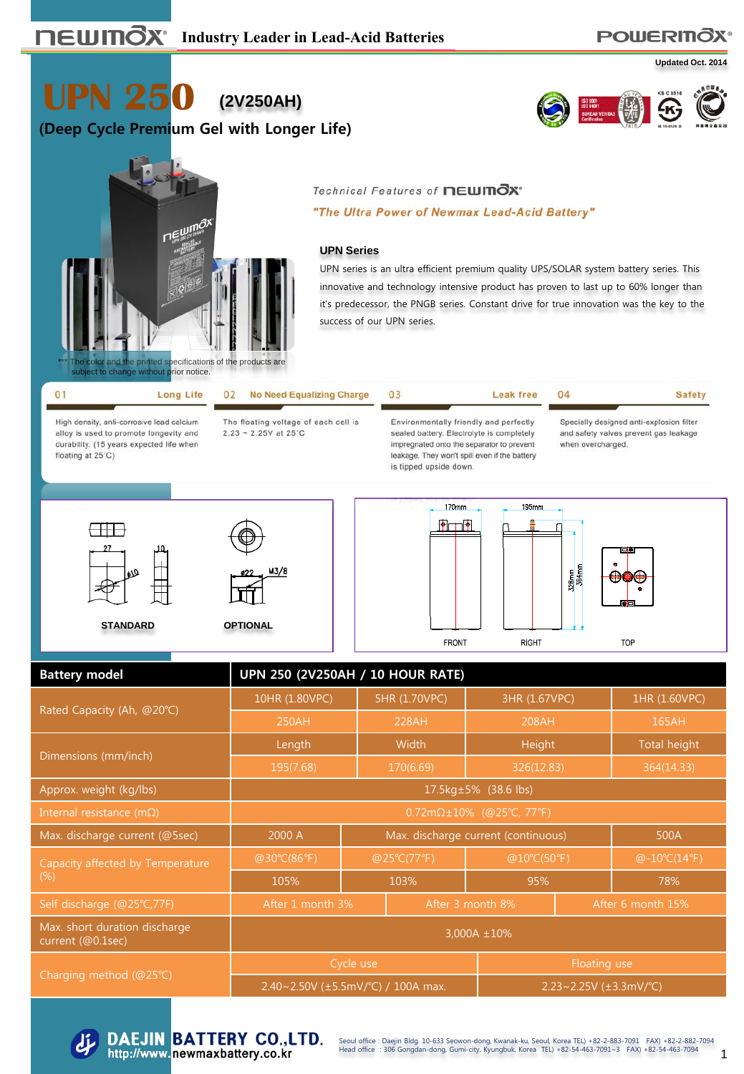### **POWERITOX®**

**Updated Oct. 2014**

**UPN 250 (2V250AH)**

## **(Deep Cycle Premium Gel with Longer Life)**





#### Technical Features of newmOx\*

"The Ultra Power of Newmax Lead-Acid Battery"

#### **UPN Series**

UPN series is an ultra efficient premium quality UPS/SOLAR system battery series. This innovative and technology intensive product has proven to last up to 60% longer than it's predecessor, the PNGB series. Constant drive for true innovation was the key to the success of our UPN series.

Leak free

04

| 0 <sup>1</sup> |  |                                        |
|----------------|--|----------------------------------------|
|                |  | Long Life 02 No Need Equalizing Charge |
|                |  |                                        |

High density, anti-corrosive lead calcium alloy is used to promote longevity and durability. (15 years expected life when floating at 25°C)

The floating voltage of each cell is  $2.23 - 2.25V$  at 25°C

03

Environmentally friendly and perfectly sealed battery. Electrolyte is completely impregnated onto the separator to prevent leakage. They won't spill even if the battery is tipped upside down.

**FRONT** 

Specially designed anti-explosion filter and safety valves prevent gas leakage when overcharged.

**Safety** 



M3/8



**RIGHT** 



| <b>Battery model</b>                               | <b>UPN 250 (2V250AH / 10 HOUR RATE)</b>      |                                             |                              |                   |               |            |  |  |  |
|----------------------------------------------------|----------------------------------------------|---------------------------------------------|------------------------------|-------------------|---------------|------------|--|--|--|
|                                                    | 10HR (1.80VPC)                               |                                             | 5HR (1.70VPC)                | 3HR (1.67VPC)     | 1HR (1.60VPC) |            |  |  |  |
| Rated Capacity (Ah, @20°C)                         | 250AH                                        |                                             | 228AH                        | 208AH             |               | 165AH      |  |  |  |
| Dimensions (mm/inch)                               | Length                                       |                                             | Width                        | Height            | Total height  |            |  |  |  |
|                                                    | 195(7.68)                                    |                                             | 170(6.69)                    | 326(12.83)        |               | 364(14.33) |  |  |  |
| Approx. weight (kg/lbs)                            | 17.5kg±5% (38.6 lbs)                         |                                             |                              |                   |               |            |  |  |  |
| Internal resistance (m $\Omega$ )                  | $0.72 \text{m}\Omega \pm 10\%$ (@25°C, 77°F) |                                             |                              |                   |               |            |  |  |  |
| Max. discharge current (@5sec)                     | 2000 A                                       | Max. discharge current (continuous)<br>500A |                              |                   |               |            |  |  |  |
| Capacity affected by Temperature                   | @30°C(86°F)                                  | @25°C(77°F)                                 |                              |                   | @10°C(50°F)   |            |  |  |  |
| $(\%)$                                             | 105%                                         | 103%                                        |                              | 95%               |               | 78%        |  |  |  |
| Self discharge (@25°C,77F)                         | After 1 month 3%                             |                                             | After 3 month 8%             | After 6 month 15% |               |            |  |  |  |
| Max. short duration discharge<br>current (@0.1sec) | 3,000A ±10%                                  |                                             |                              |                   |               |            |  |  |  |
|                                                    |                                              | Cycle use                                   |                              |                   | Floating use  |            |  |  |  |
| Charging method (@25°C)                            | 2.40~2.50V (±5.5mV/°C) / 100A max.           |                                             | 2.23~2.25V $(\pm 3.3$ mV/°C) |                   |               |            |  |  |  |



1